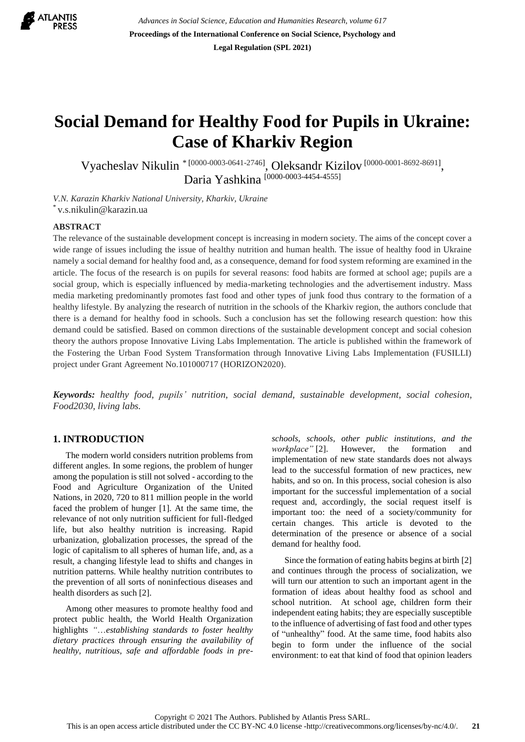

# **Social Demand for Healthy Food for Pupils in Ukraine: Case of Kharkiv Region**

Vyacheslav Nikulin<sup>\* [0000-0003-0641-2746]</sup>, Oleksandr Kizilov<sup>[\[0000-0001-8692-8691\]](https://orcid.org/0000-0001-8692-8691)</sup>, Daria Yashkina [0000-0003-4454-4555]

*V.N. Karazin Kharkiv National University, Kharkiv, Ukraine* \* [v.s.nikulin@karazin.ua](mailto:v.s.nikulin@karazin.ua)

## **ABSTRACT**

The relevance of the sustainable development concept is increasing in modern society. The aims of the concept cover a wide range of issues including the issue of healthy nutrition and human health. The issue of healthy food in Ukraine namely a social demand for healthy food and, as a consequence, demand for food system reforming are examined in the article. The focus of the research is on pupils for several reasons: food habits are formed at school age; pupils are a social group, which is especially influenced by media-marketing technologies and the advertisement industry. Mass media marketing predominantly promotes fast food and other types of junk food thus contrary to the formation of a healthy lifestyle. By analyzing the research of nutrition in the schools of the Kharkiv region, the authors conclude that there is a demand for healthy food in schools. Such a conclusion has set the following research question: how this demand could be satisfied. Based on common directions of the sustainable development concept and social cohesion theory the authors propose Innovative Living Labs Implementation. The article is published within the framework of the Fostering the Urban Food System Transformation through Innovative Living Labs Implementation (FUSILLI) project under Grant Agreement No.101000717 (HORIZON2020).

*Keywords: healthy food, pupils' nutrition, social demand, sustainable development, social cohesion, Food2030, living labs.*

# **1. INTRODUCTION**

The modern world considers nutrition problems from different angles. In some regions, the problem of hunger among the population is still not solved - according to the Food and Agriculture Organization of the United Nations, in 2020, 720 to 811 million people in the world faced the problem of hunger [1]. At the same time, the relevance of not only nutrition sufficient for full-fledged life, but also healthy nutrition is increasing. Rapid urbanization, globalization processes, the spread of the logic of capitalism to all spheres of human life, and, as a result, a changing lifestyle lead to shifts and changes in nutrition patterns. While healthy nutrition contributes to the prevention of all sorts of noninfectious diseases and health disorders as such [2].

Among other measures to promote healthy food and protect public health, the World Health Organization highlights *"*…*establishing standards to foster healthy dietary practices through ensuring the availability of healthy, nutritious, safe and affordable foods in pre-* *schools, schools, other public institutions, and the workplace"* [2]. However, the formation and implementation of new state standards does not always lead to the successful formation of new practices, new habits, and so on. In this process, social cohesion is also important for the successful implementation of a social request and, accordingly, the social request itself is important too: the need of a society/community for certain changes. This article is devoted to the determination of the presence or absence of a social demand for healthy food.

Since the formation of eating habits begins at birth [2] and continues through the process of socialization, we will turn our attention to such an important agent in the formation of ideas about healthy food as school and school nutrition. At school age, children form their independent eating habits; they are especially susceptible to the influence of advertising of fast food and other types of "unhealthy" food. At the same time, food habits also begin to form under the influence of the social environment: to eat that kind of food that opinion leaders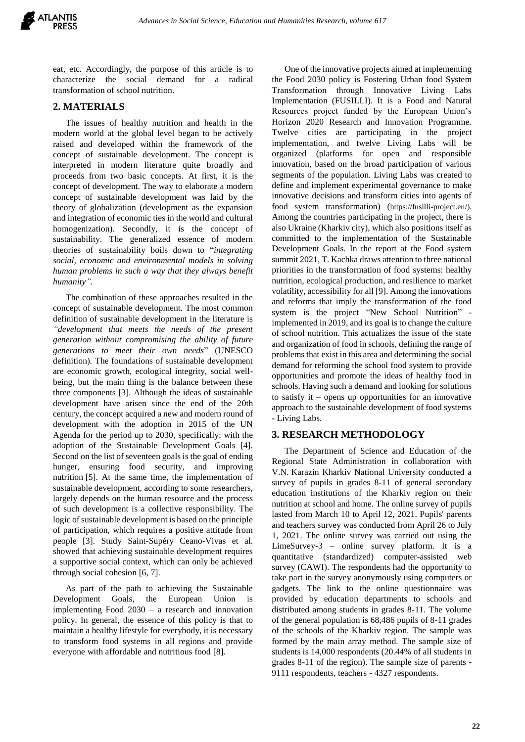

eat, etc. Accordingly, the purpose of this article is to characterize the social demand for a radical transformation of school nutrition.

## **2. MATERIALS**

The issues of healthy nutrition and health in the modern world at the global level began to be actively raised and developed within the framework of the concept of sustainable development. The concept is interpreted in modern literature quite broadly and proceeds from two basic concepts. At first, it is the concept of development. The way to elaborate a modern concept of sustainable development was laid by the theory of globalization (development as the expansion and integration of economic ties in the world and cultural homogenization). Secondly, it is the concept of sustainability. The generalized essence of modern theories of sustainability boils down to "*integrating social, economic and environmental models in solving human problems in such a way that they always benefit humanity".*

The combination of these approaches resulted in the concept of sustainable development. The most common definition of sustainable development in the literature is *"development that meets the needs of the present generation without compromising the ability of future generations to meet their own needs*" (UNESCO definition)*.* The foundations of sustainable development are economic growth, ecological integrity, social wellbeing, but the main thing is the balance between these three components [3]. Although the ideas of sustainable development have arisen since the end of the 20th century, the concept acquired a new and modern round of development with the adoption in 2015 of the UN Agenda for the period up to 2030, specifically: with the adoption of the Sustainable Development Goals [4]. Second on the list of seventeen goals is the goal of ending hunger, ensuring food security, and improving nutrition [5]. At the same time, the implementation of sustainable development, according to some researchers, largely depends on the human resource and the process of such development is a collective responsibility. The logic of sustainable development is based on the principle of participation, which requires a positive attitude from people [3]. Study Saint-Supéry Ceano-Vivas et al. showed that achieving sustainable development requires a supportive social context, which can only be achieved through social cohesion [6, 7].

As part of the path to achieving the Sustainable Development Goals, the European Union is implementing Food 2030 – a research and innovation policy. In general, the essence of this policy is that to maintain a healthy lifestyle for everybody, it is necessary to transform food systems in all regions and provide everyone with affordable and nutritious food [8].

One of the innovative projects aimed at implementing the Food 2030 policy is Fostering Urban food System Transformation through Innovative Living Labs Implementation (FUSILLI). It is a Food and Natural Resources project funded by the European Union's Horizon 2020 Research and Innovation Programme. Twelve cities are participating in the project implementation, and twelve Living Labs will be organized (platforms for open and responsible innovation, based on the broad participation of various segments of the population. Living Labs was created to define and implement experimental governance to make innovative decisions and transform cities into agents of food system transformation) ([https://fusilli-project.eu/\)](https://fusilli-project.eu/). Among the countries participating in the project, there is also Ukraine (Kharkiv city), which also positions itself as committed to the implementation of the Sustainable Development Goals. In the report at the Food system summit 2021, T. Kachka draws attention to three national priorities in the transformation of food systems: healthy nutrition, ecological production, and resilience to market volatility, accessibility for all [9]. Among the innovations and reforms that imply the transformation of the food system is the project "New School Nutrition" implemented in 2019, and its goal is to change the culture of school nutrition. This actualizes the issue of the state and organization of food in schools, defining the range of problems that exist in this area and determining the social demand for reforming the school food system to provide opportunities and promote the ideas of healthy food in schools. Having such a demand and looking for solutions to satisfy it – opens up opportunities for an innovative approach to the sustainable development of food systems - Living Labs.

#### **3. RESEARCH METHODOLOGY**

The Department of Science and Education of the Regional State Administration in collaboration with V.N. Karazin Kharkiv National University conducted a survey of pupils in grades 8-11 of general secondary education institutions of the Kharkiv region on their nutrition at school and home. The online survey of pupils lasted from March 10 to April 12, 2021. Pupils' parents and teachers survey was conducted from April 26 to July 1, 2021. The online survey was carried out using the LimeSurvey-3 – online survey platform. It is a quantitative (standardized) computer-assisted web survey (CAWI). The respondents had the opportunity to take part in the survey anonymously using computers or gadgets. The link to the online questionnaire was provided by education departments to schools and distributed among students in grades 8-11. The volume of the general population is 68,486 pupils of 8-11 grades of the schools of the Kharkiv region. The sample was formed by the main array method. The sample size of students is 14,000 respondents (20.44% of all students in grades 8-11 of the region). The sample size of parents - 9111 respondents, teachers - 4327 respondents.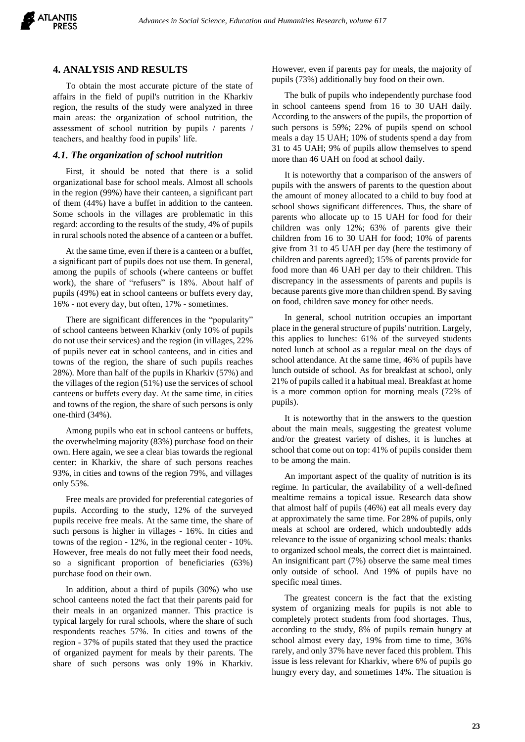

### **4. ANALYSIS AND RESULTS**

To obtain the most accurate picture of the state of affairs in the field of pupil's nutrition in the Kharkiv region, the results of the study were analyzed in three main areas: the organization of school nutrition, the assessment of school nutrition by pupils / parents / teachers, and healthy food in pupils' life.

#### *4.1. The organization of school nutrition*

First, it should be noted that there is a solid organizational base for school meals. Almost all schools in the region (99%) have their canteen, a significant part of them (44%) have a buffet in addition to the canteen. Some schools in the villages are problematic in this regard: according to the results of the study, 4% of pupils in rural schools noted the absence of a canteen or a buffet.

At the same time, even if there is a canteen or a buffet, a significant part of pupils does not use them. In general, among the pupils of schools (where canteens or buffet work), the share of "refusers" is 18%. About half of pupils (49%) eat in school canteens or buffets every day, 16% - not every day, but often, 17% - sometimes.

There are significant differences in the "popularity" of school canteens between Kharkiv (only 10% of pupils do not use their services) and the region (in villages, 22% of pupils never eat in school canteens, and in cities and towns of the region, the share of such pupils reaches 28%). More than half of the pupils in Kharkiv (57%) and the villages of the region (51%) use the services of school canteens or buffets every day. At the same time, in cities and towns of the region, the share of such persons is only one-third (34%).

Among pupils who eat in school canteens or buffets, the overwhelming majority (83%) purchase food on their own. Here again, we see a clear bias towards the regional center: in Kharkiv, the share of such persons reaches 93%, in cities and towns of the region 79%, and villages only 55%.

Free meals are provided for preferential categories of pupils. According to the study, 12% of the surveyed pupils receive free meals. At the same time, the share of such persons is higher in villages - 16%. In cities and towns of the region - 12%, in the regional center - 10%. However, free meals do not fully meet their food needs, so a significant proportion of beneficiaries (63%) purchase food on their own.

In addition, about a third of pupils (30%) who use school canteens noted the fact that their parents paid for their meals in an organized manner. This practice is typical largely for rural schools, where the share of such respondents reaches 57%. In cities and towns of the region - 37% of pupils stated that they used the practice of organized payment for meals by their parents. The share of such persons was only 19% in Kharkiv.

However, even if parents pay for meals, the majority of pupils (73%) additionally buy food on their own.

The bulk of pupils who independently purchase food in school canteens spend from 16 to 30 UAH daily. According to the answers of the pupils, the proportion of such persons is 59%; 22% of pupils spend on school meals a day 15 UAH; 10% of students spend a day from 31 to 45 UAH; 9% of pupils allow themselves to spend more than 46 UAH on food at school daily.

It is noteworthy that a comparison of the answers of pupils with the answers of parents to the question about the amount of money allocated to a child to buy food at school shows significant differences. Thus, the share of parents who allocate up to 15 UAH for food for their children was only 12%; 63% of parents give their children from 16 to 30 UAH for food; 10% of parents give from 31 to 45 UAH per day (here the testimony of children and parents agreed); 15% of parents provide for food more than 46 UAH per day to their children. This discrepancy in the assessments of parents and pupils is because parents give more than children spend. By saving on food, children save money for other needs.

In general, school nutrition occupies an important place in the general structure of pupils' nutrition. Largely, this applies to lunches: 61% of the surveyed students noted lunch at school as a regular meal on the days of school attendance. At the same time, 46% of pupils have lunch outside of school. As for breakfast at school, only 21% of pupils called it a habitual meal. Breakfast at home is a more common option for morning meals (72% of pupils).

It is noteworthy that in the answers to the question about the main meals, suggesting the greatest volume and/or the greatest variety of dishes, it is lunches at school that come out on top: 41% of pupils consider them to be among the main.

An important aspect of the quality of nutrition is its regime. In particular, the availability of a well-defined mealtime remains a topical issue. Research data show that almost half of pupils (46%) eat all meals every day at approximately the same time. For 28% of pupils, only meals at school are ordered, which undoubtedly adds relevance to the issue of organizing school meals: thanks to organized school meals, the correct diet is maintained. An insignificant part (7%) observe the same meal times only outside of school. And 19% of pupils have no specific meal times.

The greatest concern is the fact that the existing system of organizing meals for pupils is not able to completely protect students from food shortages. Thus, according to the study, 8% of pupils remain hungry at school almost every day, 19% from time to time, 36% rarely, and only 37% have never faced this problem. This issue is less relevant for Kharkiv, where 6% of pupils go hungry every day, and sometimes 14%. The situation is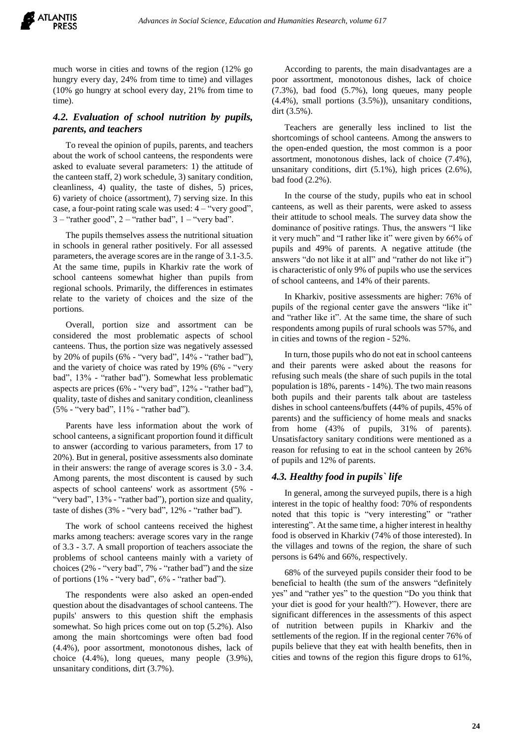much worse in cities and towns of the region (12% go hungry every day, 24% from time to time) and villages (10% go hungry at school every day, 21% from time to time).

# *4.2. Evaluation of school nutrition by pupils, parents, and teachers*

To reveal the opinion of pupils, parents, and teachers about the work of school canteens, the respondents were asked to evaluate several parameters: 1) the attitude of the canteen staff, 2) work schedule, 3) sanitary condition, cleanliness, 4) quality, the taste of dishes, 5) prices, 6) variety of choice (assortment), 7) serving size. In this case, a four-point rating scale was used:  $4 -$  "very good",  $3 -$ "rather good",  $2 -$ "rather bad",  $1 -$ "very bad".

The pupils themselves assess the nutritional situation in schools in general rather positively. For all assessed parameters, the average scores are in the range of 3.1-3.5. At the same time, pupils in Kharkiv rate the work of school canteens somewhat higher than pupils from regional schools. Primarily, the differences in estimates relate to the variety of choices and the size of the portions.

Overall, portion size and assortment can be considered the most problematic aspects of school canteens. Thus, the portion size was negatively assessed by 20% of pupils (6% - "very bad", 14% - "rather bad"), and the variety of choice was rated by 19% (6% - "very bad", 13% - "rather bad"). Somewhat less problematic aspects are prices (6% - "very bad", 12% - "rather bad"), quality, taste of dishes and sanitary condition, cleanliness (5% - "very bad", 11% - "rather bad").

Parents have less information about the work of school canteens, a significant proportion found it difficult to answer (according to various parameters, from 17 to 20%). But in general, positive assessments also dominate in their answers: the range of average scores is 3.0 - 3.4. Among parents, the most discontent is caused by such aspects of school canteens' work as assortment (5% - "very bad", 13% - "rather bad"), portion size and quality, taste of dishes (3% - "very bad", 12% - "rather bad").

The work of school canteens received the highest marks among teachers: average scores vary in the range of 3.3 - 3.7. A small proportion of teachers associate the problems of school canteens mainly with a variety of choices (2% - "very bad", 7% - "rather bad") and the size of portions  $(1\% - "very bad", 6\% - "rather bad").$ 

The respondents were also asked an open-ended question about the disadvantages of school canteens. The pupils' answers to this question shift the emphasis somewhat. So high prices come out on top (5.2%). Also among the main shortcomings were often bad food (4.4%), poor assortment, monotonous dishes, lack of choice (4.4%), long queues, many people (3.9%), unsanitary conditions, dirt (3.7%).

According to parents, the main disadvantages are a poor assortment, monotonous dishes, lack of choice (7.3%), bad food (5.7%), long queues, many people (4.4%), small portions (3.5%)), unsanitary conditions, dirt (3.5%).

Teachers are generally less inclined to list the shortcomings of school canteens. Among the answers to the open-ended question, the most common is a poor assortment, monotonous dishes, lack of choice (7.4%), unsanitary conditions, dirt (5.1%), high prices (2.6%), bad food (2.2%).

In the course of the study, pupils who eat in school canteens, as well as their parents, were asked to assess their attitude to school meals. The survey data show the dominance of positive ratings. Thus, the answers "I like it very much" and "I rather like it" were given by 66% of pupils and 49% of parents. A negative attitude (the answers "do not like it at all" and "rather do not like it") is characteristic of only 9% of pupils who use the services of school canteens, and 14% of their parents.

In Kharkiv, positive assessments are higher: 76% of pupils of the regional center gave the answers "like it" and "rather like it". At the same time, the share of such respondents among pupils of rural schools was 57%, and in cities and towns of the region - 52%.

In turn, those pupils who do not eat in school canteens and their parents were asked about the reasons for refusing such meals (the share of such pupils in the total population is 18%, parents - 14%). The two main reasons both pupils and their parents talk about are tasteless dishes in school canteens/buffets (44% of pupils, 45% of parents) and the sufficiency of home meals and snacks from home (43% of pupils, 31% of parents). Unsatisfactory sanitary conditions were mentioned as a reason for refusing to eat in the school canteen by 26% of pupils and 12% of parents.

# *4.3. Healthy food in pupils` life*

In general, among the surveyed pupils, there is a high interest in the topic of healthy food: 70% of respondents noted that this topic is "very interesting" or "rather interesting". At the same time, a higher interest in healthy food is observed in Kharkiv (74% of those interested). In the villages and towns of the region, the share of such persons is 64% and 66%, respectively.

68% of the surveyed pupils consider their food to be beneficial to health (the sum of the answers "definitely yes" and "rather yes" to the question "Do you think that your diet is good for your health?"). However, there are significant differences in the assessments of this aspect of nutrition between pupils in Kharkiv and the settlements of the region. If in the regional center 76% of pupils believe that they eat with health benefits, then in cities and towns of the region this figure drops to 61%,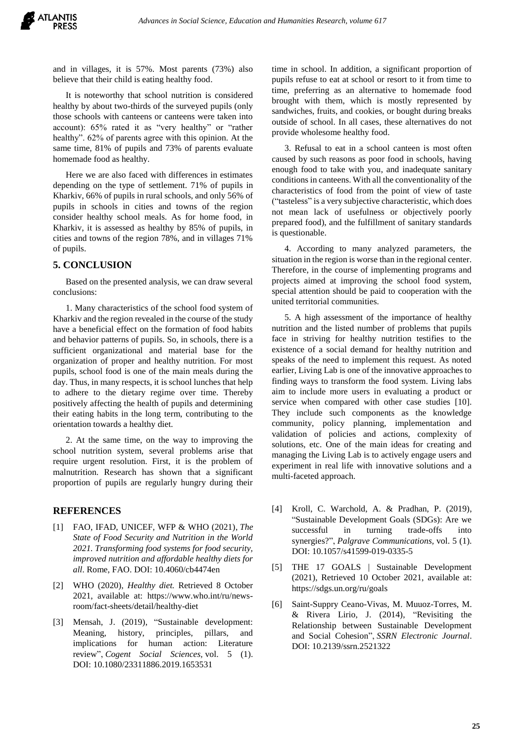and in villages, it is 57%. Most parents (73%) also believe that their child is eating healthy food.

It is noteworthy that school nutrition is considered healthy by about two-thirds of the surveyed pupils (only those schools with canteens or canteens were taken into account): 65% rated it as "very healthy" or "rather healthy".  $62\%$  of parents agree with this opinion. At the same time, 81% of pupils and 73% of parents evaluate homemade food as healthy.

Here we are also faced with differences in estimates depending on the type of settlement. 71% of pupils in Kharkiv, 66% of pupils in rural schools, and only 56% of pupils in schools in cities and towns of the region consider healthy school meals. As for home food, in Kharkiv, it is assessed as healthy by 85% of pupils, in cities and towns of the region 78%, and in villages 71% of pupils.

# **5. CONCLUSION**

Based on the presented analysis, we can draw several conclusions:

1. Many characteristics of the school food system of Kharkiv and the region revealed in the course of the study have a beneficial effect on the formation of food habits and behavior patterns of pupils. So, in schools, there is a sufficient organizational and material base for the organization of proper and healthy nutrition. For most pupils, school food is one of the main meals during the day. Thus, in many respects, it is school lunches that help to adhere to the dietary regime over time. Thereby positively affecting the health of pupils and determining their eating habits in the long term, contributing to the orientation towards a healthy diet.

2. At the same time, on the way to improving the school nutrition system, several problems arise that require urgent resolution. First, it is the problem of malnutrition. Research has shown that a significant proportion of pupils are regularly hungry during their

## **REFERENCES**

- [1] FAO, IFAD, UNICEF, WFP & WHO (2021), *The State of Food Security and Nutrition in the World 2021. Transforming food systems for food security, improved nutrition and affordable healthy diets for all*. Rome, FAO. [DOI: 10.4060/cb4474en](https://doi.org/10.4060/cb4474en)
- [2] WHO (2020), *Healthy diet.* Retrieved 8 October 2021, available at: [https://www.who.int/ru/news](https://www.who.int/ru/news-room/fact-sheets/detail/healthy-diet)[room/fact-sheets/detail/healthy-diet](https://www.who.int/ru/news-room/fact-sheets/detail/healthy-diet)
- [3] Mensah, J. (2019), "Sustainable development: Meaning, history, principles, pillars, and implications for human action: Literature review", *Cogent Social Sciences,* vol. 5 (1). DOI: 10.1080/23311886.2019.1653531

time in school. In addition, a significant proportion of pupils refuse to eat at school or resort to it from time to time, preferring as an alternative to homemade food brought with them, which is mostly represented by sandwiches, fruits, and cookies, or bought during breaks outside of school. In all cases, these alternatives do not provide wholesome healthy food.

3. Refusal to eat in a school canteen is most often caused by such reasons as poor food in schools, having enough food to take with you, and inadequate sanitary conditions in canteens. With all the conventionality of the characteristics of food from the point of view of taste ("tasteless" is a very subjective characteristic, which does not mean lack of usefulness or objectively poorly prepared food), and the fulfillment of sanitary standards is questionable.

4. According to many analyzed parameters, the situation in the region is worse than in the regional center. Therefore, in the course of implementing programs and projects aimed at improving the school food system, special attention should be paid to cooperation with the united territorial communities.

5. A high assessment of the importance of healthy nutrition and the listed number of problems that pupils face in striving for healthy nutrition testifies to the existence of a social demand for healthy nutrition and speaks of the need to implement this request. As noted earlier, Living Lab is one of the innovative approaches to finding ways to transform the food system. Living labs aim to include more users in evaluating a product or service when compared with other case studies [10]. They include such components as the knowledge community, policy planning, implementation and validation of policies and actions, complexity of solutions, etc. One of the main ideas for creating and managing the Living Lab is to actively engage users and experiment in real life with innovative solutions and a multi-faceted approach.

- [4] Kroll, C. Warchold, A. & Pradhan, P. (2019), "Sustainable Development Goals (SDGs): Are we successful in turning trade-offs into synergies?", *Palgrave Communications,* vol. 5 (1). DOI: 10.1057/s41599-019-0335-5
- [5] THE 17 GOALS | Sustainable Development (2021), Retrieved 10 October 2021, available at: <https://sdgs.un.org/ru/goals>
- [6] Saint-Suppry Ceano-Vivas, M. Muuoz-Torres, M. & Rivera Lirio, J. (2014), "Revisiting the Relationship between Sustainable Development and Social Cohesion", *SSRN Electronic Journal*. DOI: 10.2139/ssrn.2521322